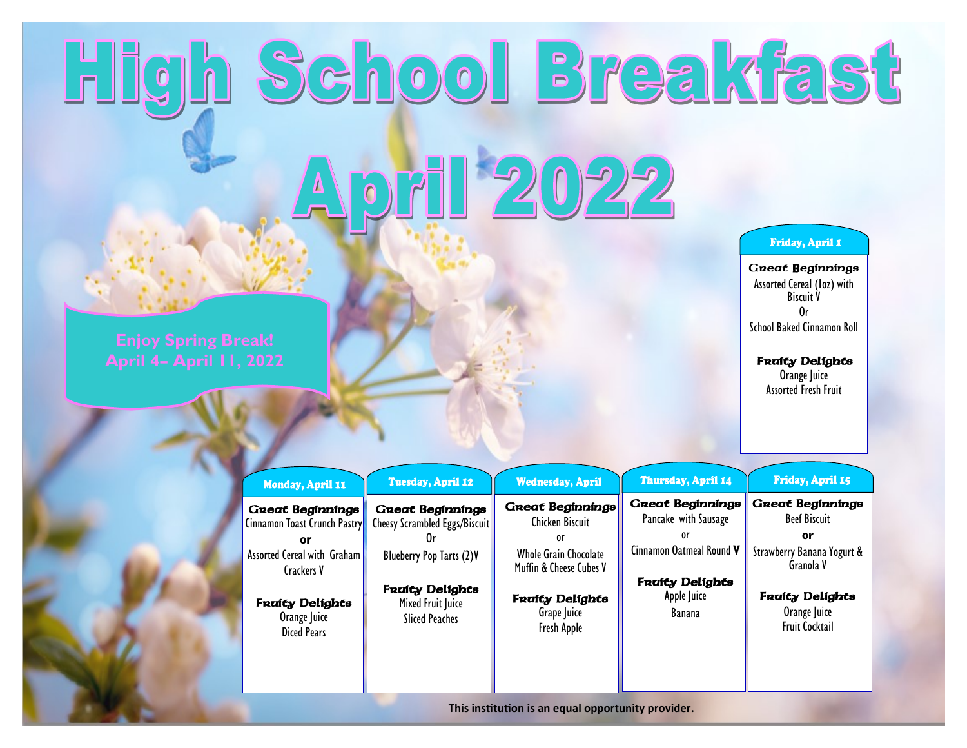## High School Breakfast April 2022

## **Friday, April 1**

Great Beginnings Assorted Cereal (1oz) with Biscuit V Or School Baked Cinnamon Roll

## **Fruity Delights**

Orange Juice Assorted Fresh Fruit

|  | Monday, April 11                                 | <b>Tuesday, April 12</b>                                 | <b>Wednesday, April</b>                                       | Th         |
|--|--------------------------------------------------|----------------------------------------------------------|---------------------------------------------------------------|------------|
|  | Great Beginnings<br>Cinnamon Toast Crunch Pastry | <b>Great Beginnings</b><br>Cheesy Scrambled Eggs/Biscuit | <b>Great Beginnings</b><br><b>Chicken Biscuit</b>             | Gne<br>Par |
|  | or<br>Assorted Cereal with Graham<br>Crackers V  | Blueberry Pop Tarts (2)V                                 | or<br><b>Whole Grain Chocolate</b><br>Muffin & Cheese Cubes V | Cinna      |
|  |                                                  |                                                          |                                                               |            |

Fruity Delights Mixed Fruit Juice Sliced Peaches

**Fruity Delights** Orange Juice Diced Pears

**Fruity Delights** Grape Juice Fresh Apple

## Friday, April 15 ursday, April 14 Great Beginnings eat Beginning<del>s</del> ncake with Sausage Beef Biscuit **or** Cinnamon Oatmeal Round **V** Strawberry Banana Yogurt & Granola V Fruity Delights

or

Apple Juice Banana

**Fruity Delights** Orange Juice Fruit Cocktail

**This institution is an equal opportunity provider.**